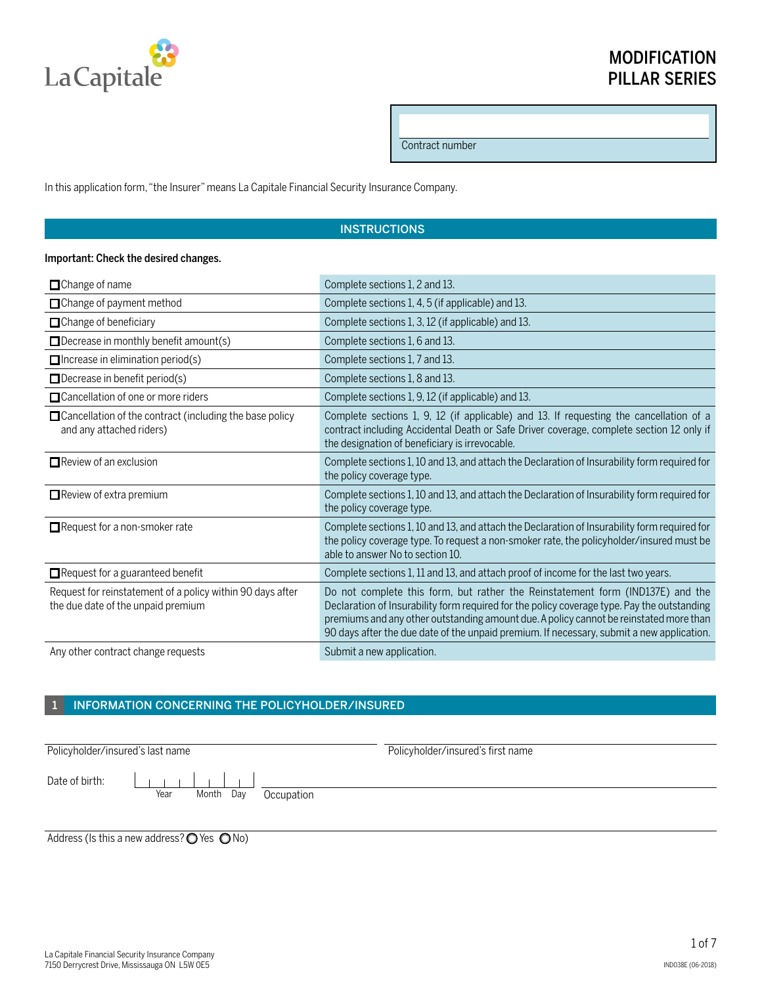

## MODIFICATION PILLAR SERIES

Contract number

In this application form, "the Insurer" means La Capitale Financial Security Insurance Company.

### **INSTRUCTIONS**

#### Important: Check the desired changes.

| $\Box$ Change of name                                                                            | Complete sections 1, 2 and 13.                                                                                                                                                                                                                                                                                                                                       |
|--------------------------------------------------------------------------------------------------|----------------------------------------------------------------------------------------------------------------------------------------------------------------------------------------------------------------------------------------------------------------------------------------------------------------------------------------------------------------------|
| □ Change of payment method                                                                       | Complete sections 1, 4, 5 (if applicable) and 13.                                                                                                                                                                                                                                                                                                                    |
| $\Box$ Change of beneficiary                                                                     | Complete sections 1, 3, 12 (if applicable) and 13.                                                                                                                                                                                                                                                                                                                   |
| $\Box$ Decrease in monthly benefit amount(s)                                                     | Complete sections 1, 6 and 13.                                                                                                                                                                                                                                                                                                                                       |
| $\Box$ Increase in elimination period(s)                                                         | Complete sections 1, 7 and 13.                                                                                                                                                                                                                                                                                                                                       |
| $\Box$ Decrease in benefit period(s)                                                             | Complete sections 1, 8 and 13.                                                                                                                                                                                                                                                                                                                                       |
| $\Box$ Cancellation of one or more riders                                                        | Complete sections 1, 9, 12 (if applicable) and 13.                                                                                                                                                                                                                                                                                                                   |
| $\Box$ Cancellation of the contract (including the base policy<br>and any attached riders)       | Complete sections 1, 9, 12 (if applicable) and 13. If requesting the cancellation of a<br>contract including Accidental Death or Safe Driver coverage, complete section 12 only if<br>the designation of beneficiary is irrevocable.                                                                                                                                 |
| $\Box$ Review of an exclusion                                                                    | Complete sections 1, 10 and 13, and attach the Declaration of Insurability form required for<br>the policy coverage type.                                                                                                                                                                                                                                            |
| $\Box$ Review of extra premium                                                                   | Complete sections 1, 10 and 13, and attach the Declaration of Insurability form required for<br>the policy coverage type.                                                                                                                                                                                                                                            |
| Request for a non-smoker rate                                                                    | Complete sections 1, 10 and 13, and attach the Declaration of Insurability form required for<br>the policy coverage type. To request a non-smoker rate, the policyholder/insured must be<br>able to answer No to section 10.                                                                                                                                         |
| $\Box$ Request for a guaranteed benefit                                                          | Complete sections 1, 11 and 13, and attach proof of income for the last two years.                                                                                                                                                                                                                                                                                   |
| Request for reinstatement of a policy within 90 days after<br>the due date of the unpaid premium | Do not complete this form, but rather the Reinstatement form (IND137E) and the<br>Declaration of Insurability form required for the policy coverage type. Pay the outstanding<br>premiums and any other outstanding amount due. A policy cannot be reinstated more than<br>90 days after the due date of the unpaid premium. If necessary, submit a new application. |
| Any other contract change requests                                                               | Submit a new application.                                                                                                                                                                                                                                                                                                                                            |

## 1 INFORMATION CONCERNING THE POLICYHOLDER/INSURED

Policyholder/insured's last name Policyholder/insured's first name Date of birth:  $\begin{array}{c|c|c|c|c|c} \hline \quad \quad & \quad \quad & \quad \quad & \quad \quad \\ \hline \quad \quad & \quad \quad & \quad \quad & \quad \quad \\ \hline \end{array}$  $\mathbf{L}$  $\mathbf{L}$ Year Month Day Occupation

Address (Is this a new address? $\bigcirc$  Yes  $\bigcirc$  No)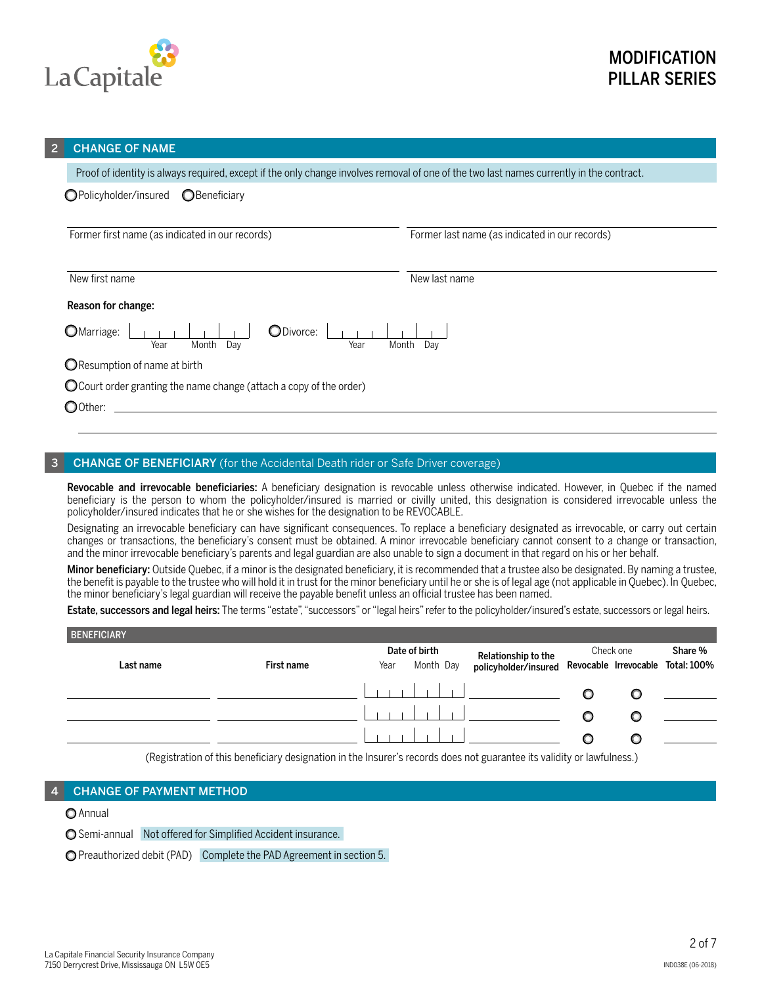

#### **CHANGE OF NAME**

Proof of identity is always required, except if the only change involves removal of one of the two last names currently in the contract.

| OPolicyholder/insured OBeneficiary |
|------------------------------------|
|                                    |

Former first name (as indicated in our records) Former last name (as indicated in our records)

New first name New last name New Instance in the New Institute of the New Institute of the New Institute of the New Institute of the New Institute of the New Institute of the New Institute of the New Institute of the New I

Reason for change:

| OMarriage: |      |              | ODivorce: |       |     |
|------------|------|--------------|-----------|-------|-----|
|            | Year | Month<br>Dav |           | Month | Dav |

**O** Resumption of name at birth

Court order granting the name change (attach a copy of the order)

O0ther:

#### **CHANGE OF BENEFICIARY** (for the Accidental Death rider or Safe Driver coverage)

Revocable and irrevocable beneficiaries: A beneficiary designation is revocable unless otherwise indicated. However, in Quebec if the named beneficiary is the person to whom the policyholder/insured is married or civilly united, this designation is considered irrevocable unless the policyholder/insured indicates that he or she wishes for the designation to be REVOCABLE.

Designating an irrevocable beneficiary can have significant consequences. To replace a beneficiary designated as irrevocable, or carry out certain changes or transactions, the beneficiary's consent must be obtained. A minor irrevocable beneficiary cannot consent to a change or transaction, and the minor irrevocable beneficiary's parents and legal guardian are also unable to sign a document in that regard on his or her behalf.

Minor beneficiary: Outside Quebec, if a minor is the designated beneficiary, it is recommended that a trustee also be designated. By naming a trustee, the benefit is payable to the trustee who will hold it in trust for the minor beneficiary until he or she is of legal age (not applicable in Quebec). In Quebec, the minor beneficiary's legal guardian will receive the payable benefit unless an official trustee has been named.

Estate, successors and legal heirs: The terms "estate", "successors" or "legal heirs" refer to the policyholder/insured's estate, successors or legal heirs.

| <b>BENEFICIARY</b> |            |      |               |                                               |           |   |                                   |  |
|--------------------|------------|------|---------------|-----------------------------------------------|-----------|---|-----------------------------------|--|
|                    |            |      | Date of birth | Relationship to the                           | Check one |   | Share %                           |  |
| Last name          | First name | Year | Month Day     | policyholder/insured                          |           |   | Revocable Irrevocable Total: 100% |  |
|                    |            |      |               | the property of the control of the control of |           |   |                                   |  |
|                    |            |      |               |                                               |           | O |                                   |  |
|                    |            |      |               |                                               |           |   |                                   |  |

(Registration of this beneficiary designation in the Insurer's records does not guarantee its validity or lawfulness.)

#### **CHANGE OF PAYMENT METHOD**

#### O Annual

Semi-annual Not offered for Simplified Accident insurance.

Preauthorized debit (PAD) Complete the PAD Agreement in section 5.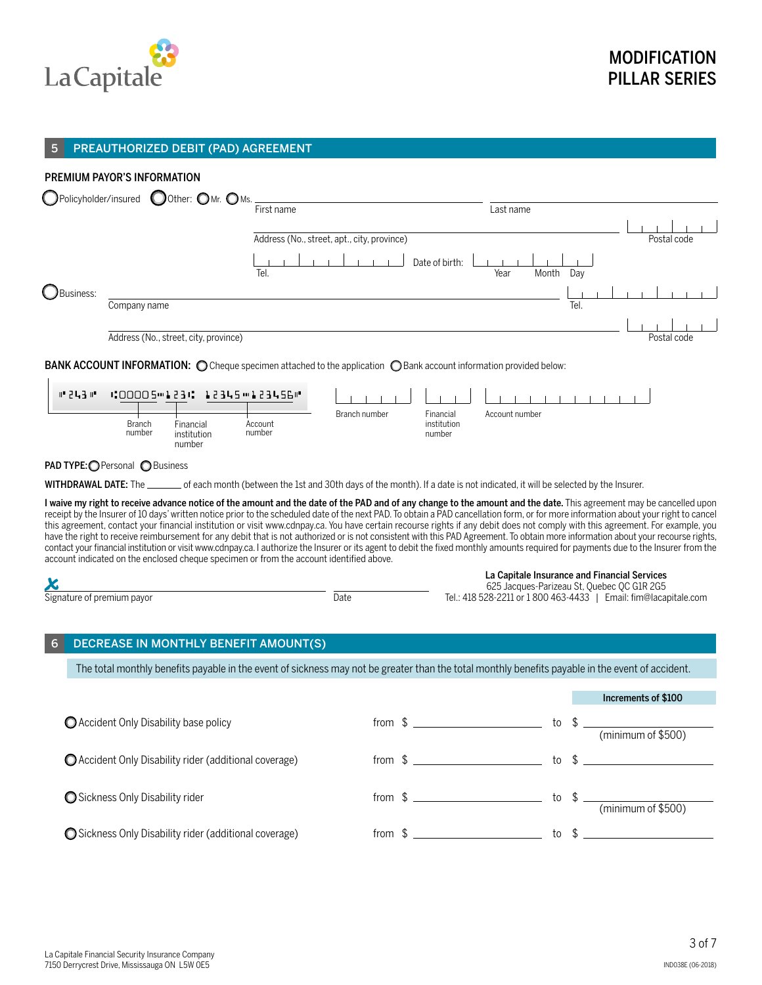

#### 5 PREAUTHORIZED DEBIT (PAD) AGREEMENT

## PREMIUM PAYOR'S INFORMATION ) Policyholder/insured  $\bigcirc$  Other:  $\bigcirc$  Mr.  $\bigcirc$  Ms. First name Last name Address (No., street, apt., city, province) example and the street of the postal code Postal code  $\Box$  Date of birth:  $\Box$ Tel. Year Month Day Business: Company name Tel. The company of the company name Tel. The company name Tel. The company name Tel. The company of the company of the company of the company of the company of the company of the company of the company of the Address (No., street, city, province) and the code of the code of the code of the code of the code of the code of the code of the code of the code of the code of the code of the code of the code of the code of the code of BANK ACCOUNT INFORMATION: O Cheque specimen attached to the application O Bank account information provided below:  $H = 2L3H$ 1:00005 331: 12345 3455 456 4  $\pm 1$ Branch number Financial Account number Branch Financial Account institution number institution numbernumber number PAD TYPE: Personal O Business WITHDRAWAL DATE: The \_\_\_\_\_\_ of each month (between the 1st and 30th days of the month). If a date is not indicated, it will be selected by the Insurer. I waive my right to receive advance notice of the amount and the date of the PAD and of any change to the amount and the date. This agreement may be cancelled upon receipt by the Insurer of 10 days' written notice prior to the scheduled date of the next PAD. To obtain a PAD cancellation form, or for more information about your right to cancel this agreement, contact your financial institution or visit www.cdnpay.ca. You have certain recourse rights if any debit does not comply with this agreement. For example, you have the right to receive reimbursement for any debit that is not authorized or is not consistent with this PAD Agreement. To obtain more information about your recourse rights, contact your financial institution or visit www.cdnpay.ca. I authorize the Insurer or its agent to debit the fixed monthly amounts required for payments due to the Insurer from the account indicated on the enclosed cheque specimen or from the account identified above. La Capitale Insurance and Financial Services<br>625 Jacques-Parizeau St, Quebec QC GIR 2G5<br>Fel.: 418 528-2211 or 1 800 463-4433 I Email: fim@laca 625 Jacques-Parizeau St, Quebec QC G1R 2G5 Tel.: 418 528-2211 or 1 800 463-4433 | Email: fim@lacapitale.com DECREASE IN MONTHLY BENEFIT AMOUNT(S) The total monthly benefits payable in the event of sickness may not be greater than the total monthly benefits payable in the event of accident. Increments of \$100 **O** Accident Only Disability base policy from \$ (minimum of \$500) O Accident Only Disability rider (additional coverage) from \$ \_\_\_\_\_\_\_\_\_\_\_\_\_\_\_\_\_\_\_\_\_\_\_\_\_\_to \$ \_\_\_\_\_\_ ● Sickness Only Disability rider **the contract of the contract of the contract of to the contract of to the contract of to the contract of to the contract of to the contract of the contract of to the contract of the contr** (minimum of \$500) O Sickness Only Disability rider (additional coverage) from  $\frac{1}{2}$  from  $\frac{1}{2}$  to  $\frac{1}{2}$  to  $\frac{1}{2}$

IND038E (06-2018)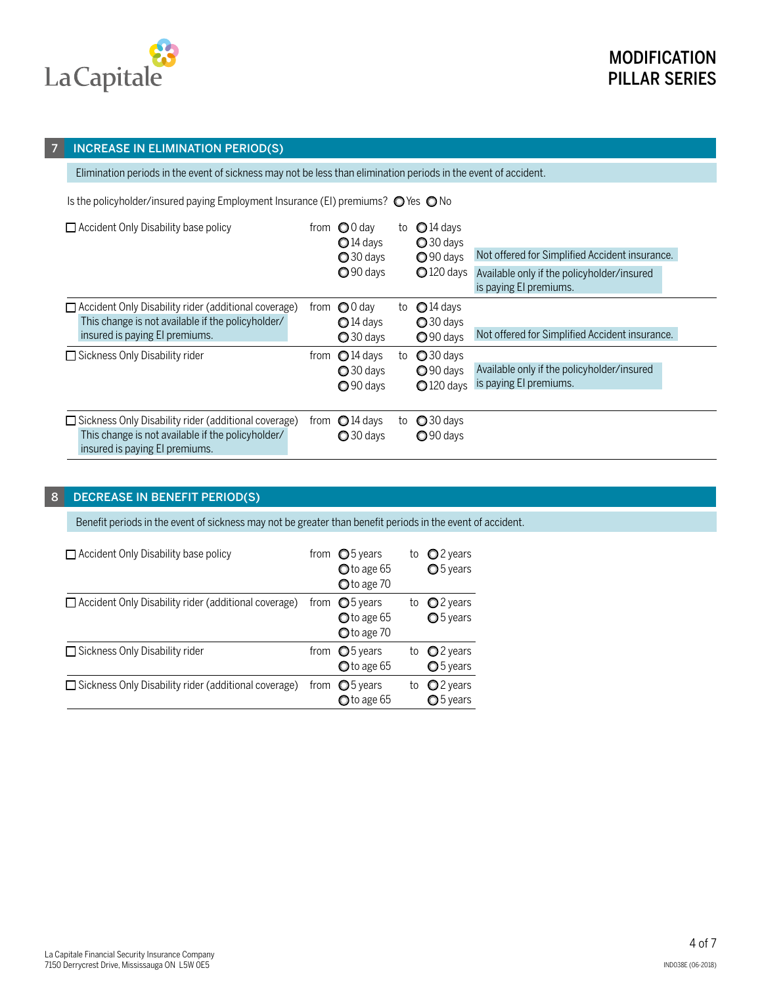

#### 7 INCREASE IN ELIMINATION PERIOD(S)

Elimination periods in the event of sickness may not be less than elimination periods in the event of accident.

Is the policyholder/insured paying Employment Insurance (EI) premiums?  $\bigcirc$  Yes  $\bigcirc$  No

| $\Box$ Accident Only Disability base policy                                                                                                        | trom | $\bigcirc$ 0 day<br>$\bigcirc$ 14 days<br>$\bigcirc$ 30 days<br>$\bigcirc$ 90 days | to | $Q$ 14 days<br>$\bigcirc$ 30 days<br>$\bigcirc$ 90 days<br>$Q$ 120 days | Not offered for Simplified Accident insurance.<br>Available only if the policyholder/insured<br>is paying El premiums. |
|----------------------------------------------------------------------------------------------------------------------------------------------------|------|------------------------------------------------------------------------------------|----|-------------------------------------------------------------------------|------------------------------------------------------------------------------------------------------------------------|
| $\Box$ Accident Only Disability rider (additional coverage)<br>This change is not available if the policyholder/<br>insured is paying El premiums. |      | from $\bigcirc$ 0 day<br>$\bigcirc$ 14 days<br>$\bigcirc$ 30 days                  | to | $\bigcirc$ 14 days<br>$\bigcirc$ 30 days<br>$Q$ 90 days                 | Not offered for Simplified Accident insurance.                                                                         |
| Sickness Only Disability rider                                                                                                                     | from | $\bigcirc$ 14 days<br>$\bigcirc$ 30 days<br>$\bigcirc$ 90 days                     | to | $Q$ 30 days<br>$\bigcirc$ 90 days<br>$Q$ 120 days                       | Available only if the policyholder/insured<br>is paying El premiums.                                                   |
| □ Sickness Only Disability rider (additional coverage)<br>This change is not available if the policyholder/<br>insured is paying El premiums.      |      | from $\bigcirc$ 14 days<br>$\bigcirc$ 30 days                                      | to | $\bigcirc$ 30 days<br>$\bigcirc$ 90 days                                |                                                                                                                        |

### 8 DECREASE IN BENEFIT PERIOD(S)

Benefit periods in the event of sickness may not be greater than benefit periods in the event of accident.

| Accident Only Disability base policy                        | from $\bigcirc$ 5 years<br>O to age 65<br>O to age 70         | to | $Q$ 2 years<br>O <sub>5</sub> years |
|-------------------------------------------------------------|---------------------------------------------------------------|----|-------------------------------------|
| $\Box$ Accident Only Disability rider (additional coverage) | from $\bigcirc$ 5 years<br>$\bullet$ to age 65<br>O to age 70 | to | $Q$ 2 years<br>O 5 years            |
| Sickness Only Disability rider                              | from $\bigcirc$ 5 years<br>$\bullet$ to age 65                |    | to $Q2$ years<br>$O5$ years         |
| $\Box$ Sickness Only Disability rider (additional coverage) | from $\bigcirc$ 5 years<br>$\bigcirc$ to age 65               | to | $Q$ 2 years<br><b>○</b> 5 years     |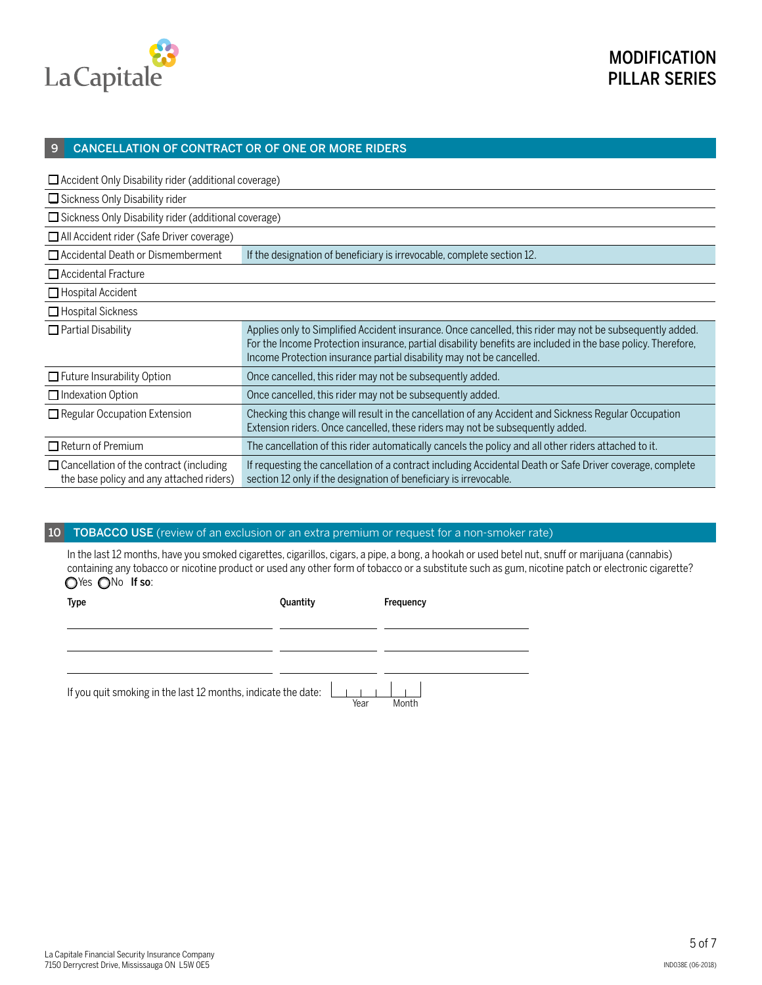

#### 9 CANCELLATION OF CONTRACT OR OF ONE OR MORE RIDERS

| $\Box$ Accident Only Disability rider (additional coverage)                                |                                                                                                                                                                                                                                                                                                  |  |  |  |  |  |
|--------------------------------------------------------------------------------------------|--------------------------------------------------------------------------------------------------------------------------------------------------------------------------------------------------------------------------------------------------------------------------------------------------|--|--|--|--|--|
| $\Box$ Sickness Only Disability rider                                                      |                                                                                                                                                                                                                                                                                                  |  |  |  |  |  |
|                                                                                            | $\Box$ Sickness Only Disability rider (additional coverage)                                                                                                                                                                                                                                      |  |  |  |  |  |
| All Accident rider (Safe Driver coverage)                                                  |                                                                                                                                                                                                                                                                                                  |  |  |  |  |  |
| $\Box$ Accidental Death or Dismemberment                                                   | If the designation of beneficiary is irrevocable, complete section 12.                                                                                                                                                                                                                           |  |  |  |  |  |
| $\Box$ Accidental Fracture                                                                 |                                                                                                                                                                                                                                                                                                  |  |  |  |  |  |
| $\Box$ Hospital Accident                                                                   |                                                                                                                                                                                                                                                                                                  |  |  |  |  |  |
| $\Box$ Hospital Sickness                                                                   |                                                                                                                                                                                                                                                                                                  |  |  |  |  |  |
| $\Box$ Partial Disability                                                                  | Applies only to Simplified Accident insurance. Once cancelled, this rider may not be subsequently added.<br>For the Income Protection insurance, partial disability benefits are included in the base policy. Therefore,<br>Income Protection insurance partial disability may not be cancelled. |  |  |  |  |  |
| $\Box$ Future Insurability Option                                                          | Once cancelled, this rider may not be subsequently added.                                                                                                                                                                                                                                        |  |  |  |  |  |
| $\Box$ Indexation Option                                                                   | Once cancelled, this rider may not be subsequently added.                                                                                                                                                                                                                                        |  |  |  |  |  |
| $\Box$ Regular Occupation Extension                                                        | Checking this change will result in the cancellation of any Accident and Sickness Regular Occupation<br>Extension riders. Once cancelled, these riders may not be subsequently added.                                                                                                            |  |  |  |  |  |
| $\Box$ Return of Premium                                                                   | The cancellation of this rider automatically cancels the policy and all other riders attached to it.                                                                                                                                                                                             |  |  |  |  |  |
| $\Box$ Cancellation of the contract (including<br>the base policy and any attached riders) | If requesting the cancellation of a contract including Accidental Death or Safe Driver coverage, complete<br>section 12 only if the designation of beneficiary is irrevocable.                                                                                                                   |  |  |  |  |  |

## 10 TOBACCO USE (review of an exclusion or an extra premium or request for a non-smoker rate)

In the last 12 months, have you smoked cigarettes, cigarillos, cigars, a pipe, a bong, a hookah or used betel nut, snuff or marijuana (cannabis) containing any tobacco or nicotine product or used any other form of tobacco or a substitute such as gum, nicotine patch or electronic cigarette? OYes ONo If so:

| Type                                                                 | Quantity | Frequency |
|----------------------------------------------------------------------|----------|-----------|
|                                                                      |          |           |
|                                                                      |          |           |
|                                                                      |          |           |
| If you quit smoking in the last 12 months, indicate the date: $\Box$ | Year     | Month     |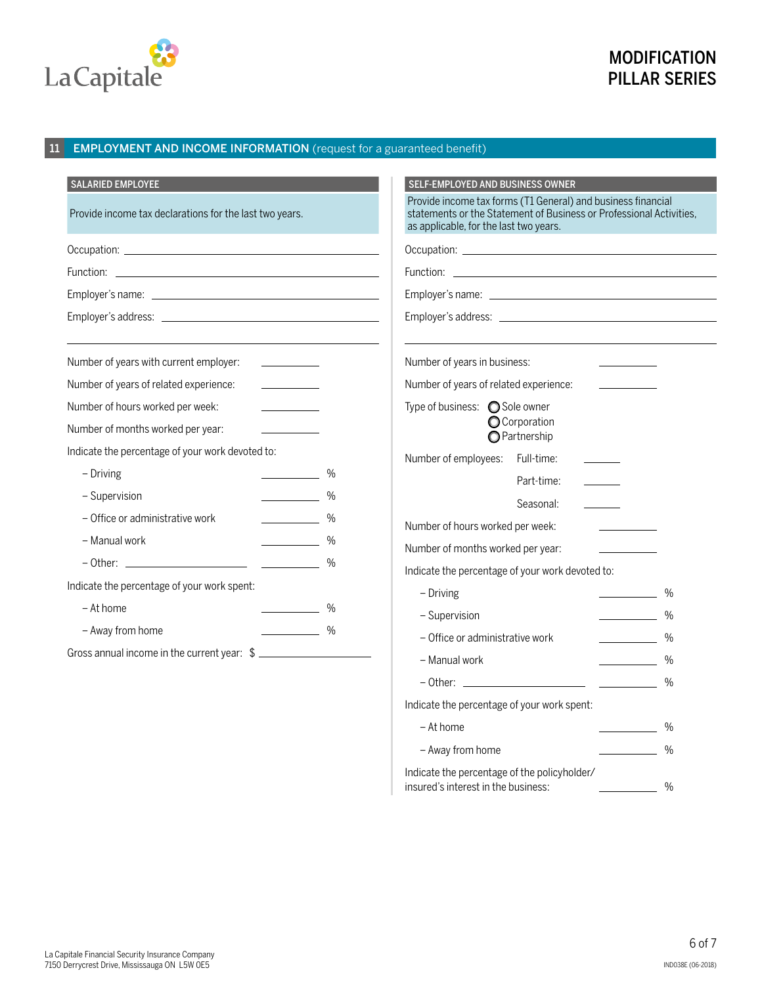

# **MODIFICATION** PILLAR SERIES

## 11 **EMPLOYMENT AND INCOME INFORMATION** (request for a guaranteed benefit)

| <b>SALARIED EMPLOYEE</b>                                                                                                                                                                                                                                                                                                                                                                                                                                          | <b>SELF-EMPLOYED AND BUSINESS OWNER</b>                                                                                                                                                                                                                                                                                                                                                                                                                                                                                                            |
|-------------------------------------------------------------------------------------------------------------------------------------------------------------------------------------------------------------------------------------------------------------------------------------------------------------------------------------------------------------------------------------------------------------------------------------------------------------------|----------------------------------------------------------------------------------------------------------------------------------------------------------------------------------------------------------------------------------------------------------------------------------------------------------------------------------------------------------------------------------------------------------------------------------------------------------------------------------------------------------------------------------------------------|
| Provide income tax declarations for the last two years.                                                                                                                                                                                                                                                                                                                                                                                                           | Provide income tax forms (T1 General) and business financial<br>statements or the Statement of Business or Professional Activities,<br>as applicable, for the last two years.                                                                                                                                                                                                                                                                                                                                                                      |
|                                                                                                                                                                                                                                                                                                                                                                                                                                                                   |                                                                                                                                                                                                                                                                                                                                                                                                                                                                                                                                                    |
|                                                                                                                                                                                                                                                                                                                                                                                                                                                                   |                                                                                                                                                                                                                                                                                                                                                                                                                                                                                                                                                    |
|                                                                                                                                                                                                                                                                                                                                                                                                                                                                   |                                                                                                                                                                                                                                                                                                                                                                                                                                                                                                                                                    |
|                                                                                                                                                                                                                                                                                                                                                                                                                                                                   |                                                                                                                                                                                                                                                                                                                                                                                                                                                                                                                                                    |
| Number of years with current employer:<br><u> 1990 - Jan Barnett, politik e</u>                                                                                                                                                                                                                                                                                                                                                                                   | Number of years in business:                                                                                                                                                                                                                                                                                                                                                                                                                                                                                                                       |
| Number of years of related experience:                                                                                                                                                                                                                                                                                                                                                                                                                            | Number of years of related experience:                                                                                                                                                                                                                                                                                                                                                                                                                                                                                                             |
| Number of hours worked per week:<br><b>Contract Contract Contract</b><br>Number of months worked per year:<br>Indicate the percentage of your work devoted to:<br>- Driving<br>$\%$<br>- Supervision<br>$\frac{0}{0}$<br>- Office or administrative work<br>$\%$<br>- Manual work<br>$\sim$ %<br>$\%$<br>Indicate the percentage of your work spent:<br>- At home<br>$\frac{0}{0}$<br>- Away from home<br>$\sim$ %<br>Gross annual income in the current year: \$ | Type of business: ◯ Sole owner<br><b>O</b> Corporation<br><b>O</b> Partnership<br>Number of employees:<br>Full-time:<br>Part-time:<br>Seasonal:<br>Number of hours worked per week:<br>Number of months worked per year:<br>Indicate the percentage of your work devoted to:<br>- Driving<br>$\%$<br>- Supervision<br>$\%$<br>- Office or administrative work<br>$\mathcal{L}^{\text{max}}$ , where $\mathcal{L}^{\text{max}}$<br>$\%$<br>- Manual work<br>$\%$<br>$\overline{\phantom{a}}$<br>$\%$<br>Indicate the percentage of your work spent: |
|                                                                                                                                                                                                                                                                                                                                                                                                                                                                   | - At home<br>$\%$                                                                                                                                                                                                                                                                                                                                                                                                                                                                                                                                  |
|                                                                                                                                                                                                                                                                                                                                                                                                                                                                   | - Away from home<br>$\%$                                                                                                                                                                                                                                                                                                                                                                                                                                                                                                                           |

| Indicate the percentage of the policyholder/ |      |
|----------------------------------------------|------|
| insured's interest in the business:          | $\%$ |